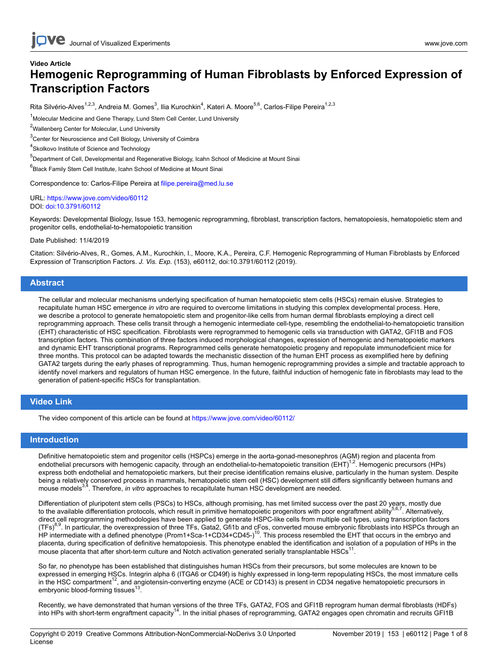# **Video Article Hemogenic Reprogramming of Human Fibroblasts by Enforced Expression of Transcription Factors**

Rita Silvério-Alves<sup>1,2,3</sup>, Andreia M. Gomes<sup>3</sup>, Ilia Kurochkin<sup>4</sup>, Kateri A. Moore<sup>5,6</sup>, Carlos-Filipe Pereira<sup>1,2,3</sup>

<sup>1</sup>Molecular Medicine and Gene Therapy, Lund Stem Cell Center, Lund University

<sup>2</sup>Wallenberg Center for Molecular, Lund University

<sup>3</sup> Center for Neuroscience and Cell Biology, University of Coimbra

<sup>4</sup>Skolkovo Institute of Science and Technology

5 Department of Cell, Developmental and Regenerative Biology, Icahn School of Medicine at Mount Sinai

6 Black Family Stem Cell Institute, Icahn School of Medicine at Mount Sinai

Correspondence to: Carlos-Filipe Pereira at [filipe.pereira@med.lu.se](mailto:filipe.pereira@med.lu.se)

URL:<https://www.jove.com/video/60112> DOI: [doi:10.3791/60112](http://dx.doi.org/10.3791/60112)

Keywords: Developmental Biology, Issue 153, hemogenic reprogramming, fibroblast, transcription factors, hematopoiesis, hematopoietic stem and progenitor cells, endothelial-to-hematopoietic transition

Date Published: 11/4/2019

Citation: Silvério-Alves, R., Gomes, A.M., Kurochkin, I., Moore, K.A., Pereira, C.F. Hemogenic Reprogramming of Human Fibroblasts by Enforced Expression of Transcription Factors. *J. Vis. Exp.* (153), e60112, doi:10.3791/60112 (2019).

#### **Abstract**

The cellular and molecular mechanisms underlying specification of human hematopoietic stem cells (HSCs) remain elusive. Strategies to recapitulate human HSC emergence *in vitro* are required to overcome limitations in studying this complex developmental process. Here, we describe a protocol to generate hematopoietic stem and progenitor-like cells from human dermal fibroblasts employing a direct cell reprogramming approach. These cells transit through a hemogenic intermediate cell-type, resembling the endothelial-to-hematopoietic transition (EHT) characteristic of HSC specification. Fibroblasts were reprogrammed to hemogenic cells via transduction with GATA2, GFI1B and FOS transcription factors. This combination of three factors induced morphological changes, expression of hemogenic and hematopoietic markers and dynamic EHT transcriptional programs. Reprogrammed cells generate hematopoietic progeny and repopulate immunodeficient mice for three months. This protocol can be adapted towards the mechanistic dissection of the human EHT process as exemplified here by defining GATA2 targets during the early phases of reprogramming. Thus, human hemogenic reprogramming provides a simple and tractable approach to identify novel markers and regulators of human HSC emergence. In the future, faithful induction of hemogenic fate in fibroblasts may lead to the generation of patient-specific HSCs for transplantation.

### **Video Link**

The video component of this article can be found at <https://www.jove.com/video/60112/>

### **Introduction**

Definitive hematopoietic stem and progenitor cells (HSPCs) emerge in the aorta-gonad-mesonephros (AGM) region and placenta from endothelial precursors with hemogenic capacity, through an endothelial-to-hematopoietic transition (EHT)<sup>1,2</sup>. Hemogenic precursors (HPs) express both endothelial and hematopoietic markers, but their precise identification remains elusive, particularly in the human system. Despite being a relatively conserved process in mammals, hematopoietic stem cell (HSC) development still differs significantly between humans and mouse models<sup>3,4</sup>. Therefore, *in vitro* approaches to recapitulate human HSC development are needed.

Differentiation of pluripotent stem cells (PSCs) to HSCs, although promising, has met limited success over the past 20 years, mostly due to the available differentiation protocols, which result in primitive hematopoietic progenitors with poor engraftment ability<sup>5,6,7</sup>. Alternatively, direct cell reprogramming methodologies have been applied to generate HSPC-like cells from multiple cell types, using transcription factors (TFs)<sup>8,9</sup>. In particular, the overexpression of three TFs, Gata2, Gfi1b and cFos, converted mouse embryonic fibroblasts into HSPCs through an HP intermediate with a defined phenotype (Prom1+Sca-1+CD34+CD45-)<sup>10</sup>. This process resembled the EHT that occurs in the embryo and placenta, during specification of definitive hematopoiesis. This phenotype enabled the identification and isolation of a population of HPs in the mouse placenta that after short-term culture and Notch activation generated serially transplantable HSCs<sup>11</sup>.

So far, no phenotype has been established that distinguishes human HSCs from their precursors, but some molecules are known to be expressed in emerging HSCs. Integrin alpha 6 (ITGA6 or CD49f) is highly expressed in long-term repopulating HSCs, the most immature cells in the HSC compartment<sup>12</sup>, and angiotensin-converting enzyme (ACE or CD143) is present in CD34 negative hematopoietic precursors in embryonic blood-forming tissues<sup>13</sup>.

Recently, we have demonstrated that human versions of the three TFs, GATA2, FOS and GFI1B reprogram human dermal fibroblasts (HDFs) into HPs with short-term engraftment capacity<sup>14</sup>. In the initial phases of reprogramming, GATA2 engages open chromatin and recruits GFI1B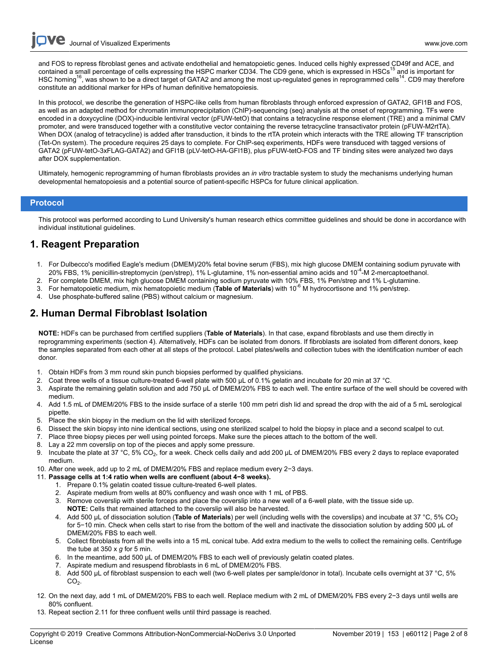**Ove** Journal of Visualized [Experiments](https://www.jove.com) [www.jove.com](https://www.jove.com)

and FOS to repress fibroblast genes and activate endothelial and hematopoietic genes. Induced cells highly expressed CD49f and ACE, and contained a small percentage of cells expressing the HSPC marker CD34. The CD9 gene, which is expressed in HSCs<sup>15</sup> and is important for HSC homing<sup>16</sup>, was shown to be a direct target of GATA2 and among the most up-regulated genes in reprogrammed cells<sup>14</sup>. CD9 may therefore constitute an additional marker for HPs of human definitive hematopoiesis.

In this protocol, we describe the generation of HSPC-like cells from human fibroblasts through enforced expression of GATA2, GFI1B and FOS, as well as an adapted method for chromatin immunoprecipitation (ChIP)-sequencing (seq) analysis at the onset of reprogramming. TFs were encoded in a doxycycline (DOX)-inducible lentiviral vector (pFUW-tetO) that contains a tetracycline response element (TRE) and a minimal CMV promoter, and were transduced together with a constitutive vector containing the reverse tetracycline transactivator protein (pFUW-M2rtTA). When DOX (analog of tetracycline) is added after transduction, it binds to the rtTA protein which interacts with the TRE allowing TF transcription (Tet-On system). The procedure requires 25 days to complete. For ChIP-seq experiments, HDFs were transduced with tagged versions of GATA2 (pFUW-tetO-3xFLAG-GATA2) and GFI1B (pLV-tetO-HA-GFI1B), plus pFUW-tetO-FOS and TF binding sites were analyzed two days after DOX supplementation.

Ultimately, hemogenic reprogramming of human fibroblasts provides an *in vitro* tractable system to study the mechanisms underlying human developmental hematopoiesis and a potential source of patient-specific HSPCs for future clinical application.

### **Protocol**

This protocol was performed according to Lund University's human research ethics committee guidelines and should be done in accordance with individual institutional guidelines.

## **1. Reagent Preparation**

- 1. For Dulbecco's modified Eagle's medium (DMEM)/20% fetal bovine serum (FBS), mix high glucose DMEM containing sodium pyruvate with 20% FBS, 1% penicillin-streptomycin (pen/strep), 1% L-glutamine, 1% non-essential amino acids and 10-4-M 2-mercaptoethanol.
- 2. For complete DMEM, mix high glucose DMEM containing sodium pyruvate with 10% FBS, 1% Pen/strep and 1% L-glutamine.
- 3. For hematopoietic medium, mix hematopoietic medium (**Table of Materials**) with 10-6 M hydrocortisone and 1% pen/strep.
- 4. Use phosphate-buffered saline (PBS) without calcium or magnesium.

## **2. Human Dermal Fibroblast Isolation**

**NOTE:** HDFs can be purchased from certified suppliers (**Table of Materials**). In that case, expand fibroblasts and use them directly in reprogramming experiments (section 4). Alternatively, HDFs can be isolated from donors. If fibroblasts are isolated from different donors, keep the samples separated from each other at all steps of the protocol. Label plates/wells and collection tubes with the identification number of each donor.

- 1. Obtain HDFs from 3 mm round skin punch biopsies performed by qualified physicians.
- 2. Coat three wells of a tissue culture-treated 6-well plate with 500 μL of 0.1% gelatin and incubate for 20 min at 37 °C.
- 3. Aspirate the remaining gelatin solution and add 750 μL of DMEM/20% FBS to each well. The entire surface of the well should be covered with medium.
- 4. Add 1.5 mL of DMEM/20% FBS to the inside surface of a sterile 100 mm petri dish lid and spread the drop with the aid of a 5 mL serological pipette.
- 5. Place the skin biopsy in the medium on the lid with sterilized forceps.
- 6. Dissect the skin biopsy into nine identical sections, using one sterilized scalpel to hold the biopsy in place and a second scalpel to cut.
- 7. Place three biopsy pieces per well using pointed forceps. Make sure the pieces attach to the bottom of the well.
- 8. Lay a 22 mm coverslip on top of the pieces and apply some pressure.
- 9. Incubate the plate at 37 °C, 5% CO<sub>2</sub>, for a week. Check cells daily and add 200 µL of DMEM/20% FBS every 2 days to replace evaporated medium.
- 10. After one week, add up to 2 mL of DMEM/20% FBS and replace medium every 2−3 days.
- 11. **Passage cells at 1:4 ratio when wells are confluent (about 4−8 weeks).**
	- 1. Prepare 0.1% gelatin coated tissue culture-treated 6-well plates.
	- 2. Aspirate medium from wells at 80% confluency and wash once with 1 mL of PBS.
	- 3. Remove coverslip with sterile forceps and place the coverslip into a new well of a 6-well plate, with the tissue side up.
	- **NOTE:** Cells that remained attached to the coverslip will also be harvested.
	- 4. Add 500 μL of dissociation solution (**Table of Materials**) per well (including wells with the coverslips) and incubate at 37 °C, 5% CO<sup>2</sup> for 5−10 min. Check when cells start to rise from the bottom of the well and inactivate the dissociation solution by adding 500 μL of DMEM/20% FBS to each well.
	- 5. Collect fibroblasts from all the wells into a 15 mL conical tube. Add extra medium to the wells to collect the remaining cells. Centrifuge the tube at 350 x *g* for 5 min.
	- 6. In the meantime, add 500 μL of DMEM/20% FBS to each well of previously gelatin coated plates.
	- 7. Aspirate medium and resuspend fibroblasts in 6 mL of DMEM/20% FBS.
	- 8. Add 500 μL of fibroblast suspension to each well (two 6-well plates per sample/donor in total). Incubate cells overnight at 37 °C, 5%  $CO<sub>2</sub>$ .
- 12. On the next day, add 1 mL of DMEM/20% FBS to each well. Replace medium with 2 mL of DMEM/20% FBS every 2−3 days until wells are 80% confluent.
- 13. Repeat section 2.11 for three confluent wells until third passage is reached.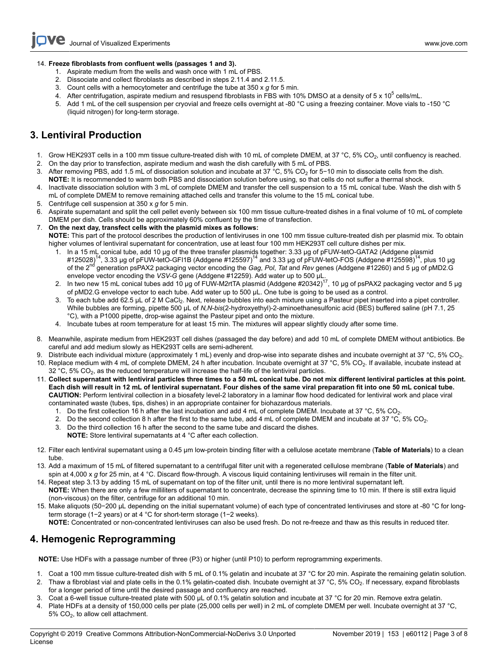### 14. **Freeze fibroblasts from confluent wells (passages 1 and 3).**

- 1. Aspirate medium from the wells and wash once with 1 mL of PBS.
- 2. Dissociate and collect fibroblasts as described in steps 2.11.4 and 2.11.5.
- 3. Count cells with a hemocytometer and centrifuge the tube at 350 x *g* for 5 min.
- 4. After centrifugation, aspirate medium and resuspend fibroblasts in FBS with 10% DMSO at a density of 5 x 10<sup>5</sup> cells/mL.
- 5. Add 1 mL of the cell suspension per cryovial and freeze cells overnight at -80 °C using a freezing container. Move vials to -150 °C (liquid nitrogen) for long-term storage.

# **3. Lentiviral Production**

- 1. Grow HEK293T cells in a 100 mm tissue culture-treated dish with 10 mL of complete DMEM, at 37 °C, 5% CO<sub>2</sub>, until confluency is reached.<br>2. On the day prior to transfection, aspirate medium and wash the dish carefully w
- 2. On the day prior to transfection, aspirate medium and wash the dish carefully with 5 mL of PBS.
- 3. After removing PBS, add 1.5 mL of dissociation solution and incubate at 37 °C, 5% CO<sub>2</sub> for 5−10 min to dissociate cells from the dish. **NOTE:** It is recommended to warm both PBS and dissociation solution before using, so that cells do not suffer a thermal shock.
- 4. Inactivate dissociation solution with 3 mL of complete DMEM and transfer the cell suspension to a 15 mL conical tube. Wash the dish with 5 mL of complete DMEM to remove remaining attached cells and transfer this volume to the 15 mL conical tube.
- 5. Centrifuge cell suspension at 350 x *g* for 5 min.
- 6. Aspirate supernatant and split the cell pellet evenly between six 100 mm tissue culture-treated dishes in a final volume of 10 mL of complete DMEM per dish. Cells should be approximately 60% confluent by the time of transfection.
- 7. **On the next day, transfect cells with the plasmid mixes as follows:**

**NOTE:** This part of the protocol describes the production of lentiviruses in one 100 mm tissue culture-treated dish per plasmid mix. To obtain higher volumes of lentiviral supernatant for concentration, use at least four 100 mm HEK293T cell culture dishes per mix.

- 1. In a 15 mL conical tube, add 10 µg of the three transfer plasmids together: 3.33 µg of pFUW-tetO-GATA2 (Addgene plasmid<br>5028)<sup>14</sup>, 3.33 µg of pFUW-tetO-GFI1B (Addgene #125597)<sup>14</sup> and 3.33 µg of pFUW-tetO-FOS (Addgene of the 2nd generation psPAX2 packaging vector encoding the *Gag*, *Pol*, *Tat* and *Rev* genes (Addgene #12260) and 5 μg of pMD2.G envelope vector encoding the *VSV-G* gene (Addgene #12259). Add water up to 500 μL.
- 2. In two new 15 mL conical tubes add 10 μg of FUW-M2rtTA plasmid (Addgene #20342)<sup>17</sup>, 10 μg of psPAX2 packaging vector and 5 μg of pMD2.G envelope vector to each tube. Add water up to 500 μL. One tube is going to be used as a control.
- To each tube add 62.5 μL of 2 M CaCl<sub>2</sub>. Next, release bubbles into each mixture using a Pasteur pipet inserted into a pipet controller. While bubbles are forming, pipette 500 μL of *N,N*-*bis*(2-hydroxyethyl)-2-aminoethanesulfonic acid (BES) buffered saline (pH 7.1, 25 °C), with a P1000 pipette, drop-wise against the Pasteur pipet and onto the mixture.
- 4. Incubate tubes at room temperature for at least 15 min. The mixtures will appear slightly cloudy after some time.
- 8. Meanwhile, aspirate medium from HEK293T cell dishes (passaged the day before) and add 10 mL of complete DMEM without antibiotics. Be careful and add medium slowly as HEK293T cells are semi-adherent.
- 9. Distribute each individual mixture (approximately 1 mL) evenly and drop-wise into separate dishes and incubate overnight at 37 °C, 5% CO<sub>2</sub>. 10. Replace medium with 4 mL of complete DMEM, 24 h after incubation. Incubate overnight at 37 °C, 5% CO<sub>2</sub>. If available, incubate instead at 32 °C, 5%  $CO<sub>2</sub>$ , as the reduced temperature will increase the half-life of the lentiviral particles.
- 11. **Collect supernatant with lentiviral particles three times to a 50 mL conical tube. Do not mix different lentiviral particles at this point. Each dish will result in 12 mL of lentiviral supernatant. Four dishes of the same viral preparation fit into one 50 mL conical tube. CAUTION:** Perform lentiviral collection in a biosafety level-2 laboratory in a laminar flow hood dedicated for lentiviral work and place viral contaminated waste (tubes, tips, dishes) in an appropriate container for biohazardous materials.
	- 1. Do the first collection 16 h after the last incubation and add 4 mL of complete DMEM. Incubate at 37 °C, 5% CO<sub>2</sub>.
	- 2. Do the second collection 8 h after the first to the same tube, add 4 mL of complete DMEM and incubate at 37 °C, 5% CO<sub>2</sub>.<br>3. Do the third collection 16 h after the second to the same tube and discard the dishes
	- 3. Do the third collection 16 h after the second to the same tube and discard the dishes.
		- **NOTE:** Store lentiviral supernatants at 4 °C after each collection.
- 12. Filter each lentiviral supernatant using a 0.45 μm low-protein binding filter with a cellulose acetate membrane (**Table of Materials**) to a clean tube.
- 13. Add a maximum of 15 mL of filtered supernatant to a centrifugal filter unit with a regenerated cellulose membrane (**Table of Materials**) and spin at 4,000 x g for 25 min, at 4 °C. Discard flow-through. A viscous liquid containing lentiviruses will remain in the filter unit.
- 14. Repeat step 3.13 by adding 15 mL of supernatant on top of the filter unit, until there is no more lentiviral supernatant left. **NOTE:** When there are only a few milliliters of supernatant to concentrate, decrease the spinning time to 10 min. If there is still extra liquid (non-viscous) on the filter, centrifuge for an additional 10 min.
- 15. Make aliquots (50−200 μL depending on the initial supernatant volume) of each type of concentrated lentiviruses and store at -80 °C for longterm storage (1−2 years) or at 4 °C for short-term storage (1−2 weeks).
- **NOTE:** Concentrated or non-concentrated lentiviruses can also be used fresh. Do not re-freeze and thaw as this results in reduced titer.

# **4. Hemogenic Reprogramming**

**NOTE:** Use HDFs with a passage number of three (P3) or higher (until P10) to perform reprogramming experiments.

- 1. Coat a 100 mm tissue culture-treated dish with 5 mL of 0.1% gelatin and incubate at 37 °C for 20 min. Aspirate the remaining gelatin solution.
- 2. Thaw a fibroblast vial and plate cells in the 0.1% gelatin-coated dish. Incubate overnight at 37 °C, 5% CO<sub>2</sub>. If necessary, expand fibroblasts for a longer period of time until the desired passage and confluency are reached.
- 3. Coat a 6-well tissue culture-treated plate with 500 μL of 0.1% gelatin solution and incubate at 37 °C for 20 min. Remove extra gelatin.
- 4. Plate HDFs at a density of 150,000 cells per plate (25,000 cells per well) in 2 mL of complete DMEM per well. Incubate overnight at 37 °C,  $5\%$  CO<sub>2</sub>, to allow cell attachment.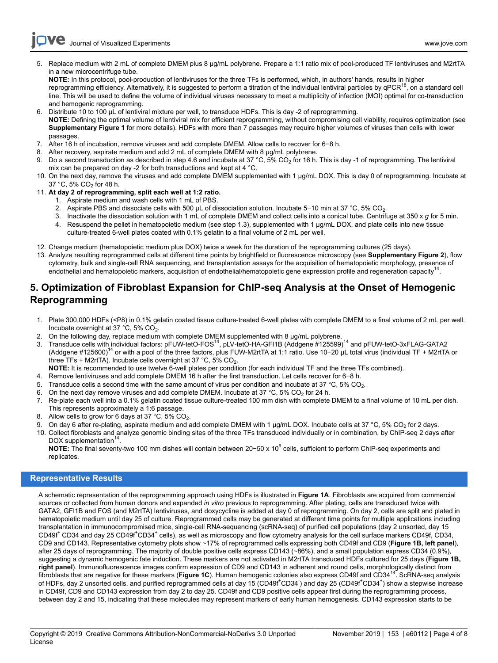**Ove** Journal of Visualized [Experiments](https://www.jove.com) [www.jove.com](https://www.jove.com)

5. Replace medium with 2 mL of complete DMEM plus 8 μg/mL polybrene. Prepare a 1:1 ratio mix of pool-produced TF lentiviruses and M2rtTA in a new microcentrifuge tube.

**NOTE:** In this protocol, pool-production of lentiviruses for the three TFs is performed, which, in authors' hands, results in higher reprogramming efficiency. Alternatively, it is suggested to perform a titration of the individual lentiviral particles by  $qPCR^{18}$ , on a standard cell line. This will be used to define the volume of individual viruses necessary to meet a multiplicity of infection (MOI) optimal for co-transduction and hemogenic reprogramming.

- 6. Distribute 10 to 100 μL of lentiviral mixture per well, to transduce HDFs. This is day -2 of reprogramming. **NOTE:** Defining the optimal volume of lentiviral mix for efficient reprogramming, without compromising cell viability, requires optimization (see **Supplementary Figure 1** for more details). HDFs with more than 7 passages may require higher volumes of viruses than cells with lower passages.
- 7. After 16 h of incubation, remove viruses and add complete DMEM. Allow cells to recover for 6−8 h.
- 8. After recovery, aspirate medium and add 2 mL of complete DMEM with 8 μg/mL polybrene.
- 9. Do a second transduction as described in step 4.6 and incubate at 37 °C, 5% CO2 for 16 h. This is day -1 of reprogramming. The lentiviral mix can be prepared on day -2 for both transductions and kept at 4 °C.
- 10. On the next day, remove the viruses and add complete DMEM supplemented with 1 μg/mL DOX. This is day 0 of reprogramming. Incubate at 37 °C, 5% CO<sub>2</sub> for 48 h.
- 11. **At day 2 of reprogramming, split each well at 1:2 ratio.**
	- 1. Aspirate medium and wash cells with 1 mL of PBS.
	- 2. Aspirate PBS and dissociate cells with 500 μL of dissociation solution. Incubate 5−10 min at 37 °C, 5% CO<sub>2</sub>.<br>3. Inactivate the dissociation solution with 1 mL of complete DMEM and collect cells into a conical tube. C
	- 3. Inactivate the dissociation solution with 1 mL of complete DMEM and collect cells into a conical tube. Centrifuge at 350 x *g* for 5 min.
	- 4. Resuspend the pellet in hematopoietic medium (see step 1.3), supplemented with 1 μg/mL DOX, and plate cells into new tissue culture-treated 6-well plates coated with 0.1% gelatin to a final volume of 2 mL per well.
- 12. Change medium (hematopoietic medium plus DOX) twice a week for the duration of the reprogramming cultures (25 days).
- 13. Analyze resulting reprogrammed cells at different time points by brightfield or fluorescence microscopy (see **Supplementary Figure 2**), flow cytometry, bulk and single-cell RNA sequencing, and transplantation assays for the acquisition of hematopoietic morphology, presence of endothelial and hematopoietic markers, acquisition of endothelial/hematopoietic gene expression profile and regeneration capacity<sup>14</sup>.

# **5. Optimization of Fibroblast Expansion for ChIP-seq Analysis at the Onset of Hemogenic Reprogramming**

- 1. Plate 300,000 HDFs (<P8) in 0.1% gelatin coated tissue culture-treated 6-well plates with complete DMEM to a final volume of 2 mL per well. Incubate overnight at 37 °C, 5% CO<sub>2</sub>.
- 2. On the following day, replace medium with complete DMEM supplemented with 8 μg/mL polybrene.
- 3. Transduce cells with individual factors: pFUW-tetO-FOS<sup>14</sup>, pLV-tetO-HA-GFI1B (Addgene #125599)<sup>14</sup> and pFUW-tetO-3xFLAG-GATA2 (Addgene #125600)<sup>14</sup> or with a pool of the three factors, plus FUW-M2rtTA at 1:1 ratio. Use 10−20 μL total virus (individual TF + M2rtTA or three TFs + M2rtTA). Incubate cells overnight at 37 °C, 5%  $CO<sub>2</sub>$ .

**NOTE:** It is recommended to use twelve 6-well plates per condition (for each individual TF and the three TFs combined).

- 4. Remove lentiviruses and add complete DMEM 16 h after the first transduction. Let cells recover for 6−8 h.
- 5. Transduce cells a second time with the same amount of virus per condition and incubate at 37 °C, 5% CO<sub>2</sub>.
- 6. On the next day remove viruses and add complete DMEM. Incubate at 37 °C, 5% CO<sub>2</sub> for 24 h.
- 7. Re-plate each well into a 0.1% gelatin coated tissue culture-treated 100 mm dish with complete DMEM to a final volume of 10 mL per dish. This represents approximately a 1:6 passage.
- 8. Allow cells to grow for 6 days at 37 °C, 5% CO<sub>2</sub>.
- 9. On day 6 after re-plating, aspirate medium and add complete DMEM with 1 μg/mL DOX. Incubate cells at 37 °C, 5% CO<sub>2</sub> for 2 days.
- 10. Collect fibroblasts and analyze genomic binding sites of the three TFs transduced individually or in combination, by ChIP-seq 2 days after DOX supplementation<sup>14</sup>

DOX supplementation'<sup>--</sup>.<br>**NOTE:** The final seventy-two 100 mm dishes will contain between 20−50 x 10<sup>6</sup> cells, sufficient to perform ChIP-seq experiments and replicates.

### **Representative Results**

A schematic representation of the reprogramming approach using HDFs is illustrated in **Figure 1A**. Fibroblasts are acquired from commercial sources or collected from human donors and expanded *in vitro* previous to reprogramming. After plating, cells are transduced twice with GATA2, GFI1B and FOS (and M2rtTA) lentiviruses, and doxycycline is added at day 0 of reprogramming. On day 2, cells are split and plated in hematopoietic medium until day 25 of culture. Reprogrammed cells may be generated at different time points for multiple applications including transplantation in immunocompromised mice, single-cell RNA-sequencing (scRNA-seq) of purified cell populations (day 2 unsorted, day 15 CD49f<sup>+</sup> CD34 and day 25 CD49f<sup>+</sup>CD34<sup>+</sup> cells), as well as microscopy and flow cytometry analysis for the cell surface markers CD49f, CD34, CD9 and CD143. Representative cytometry plots show ~17% of reprogrammed cells expressing both CD49f and CD9 (**Figure 1B, left panel**), after 25 days of reprogramming. The majority of double positive cells express CD143 (~86%), and a small population express CD34 (0.9%), suggesting a dynamic hemogenic fate induction. These markers are not activated in M2rtTA transduced HDFs cultured for 25 days (**Figure 1B, right panel**). Immunofluorescence images confirm expression of CD9 and CD143 in adherent and round cells, morphologically distinct from fibroblasts that are negative for these markers (**Figure 1C**). Human hemogenic colonies also express CD49f and CD34<sup>14</sup>. ScRNA-seq analysis of HDFs, day 2 unsorted cells, and purified reprogrammed cells at day 15 (CD49f<sup>+</sup>CD34<sup>-</sup>) and day 25 (CD49f<sup>+</sup>CD34<sup>+</sup>) show a stepwise increase in CD49f, CD9 and CD143 expression from day 2 to day 25. CD49f and CD9 positive cells appear first during the reprogramming process, between day 2 and 15, indicating that these molecules may represent markers of early human hemogenesis. CD143 expression starts to be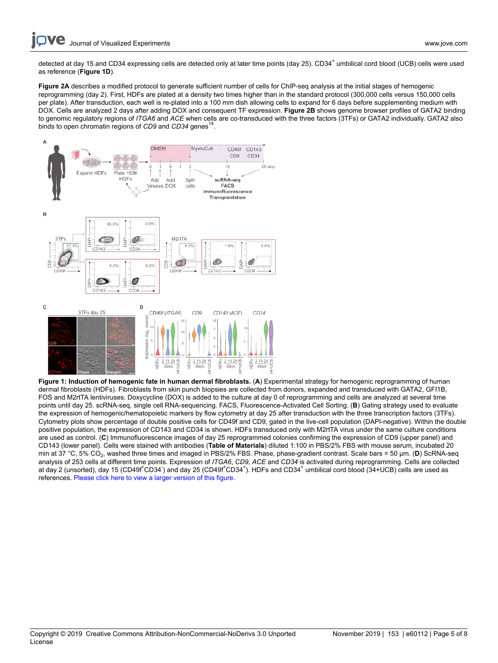detected at day 15 and CD34 expressing cells are detected only at later time points (day 25). CD34<sup>+</sup> umbilical cord blood (UCB) cells were used as reference (**Figure 1D**).

**Figure 2A** describes a modified protocol to generate sufficient number of cells for ChIP-seq analysis at the initial stages of hemogenic reprogramming (day 2). First, HDFs are plated at a density two times higher than in the standard protocol (300,000 cells versus 150,000 cells per plate). After transduction, each well is re-plated into a 100 mm dish allowing cells to expand for 6 days before supplementing medium with DOX. Cells are analyzed 2 days after adding DOX and consequent TF expression. **Figure 2B** shows genome browser profiles of GATA2 binding to genomic regulatory regions of *ITGA6* and *ACE* when cells are co-transduced with the three factors (3TFs) or GATA2 individually. GATA2 also binds to open chromatin regions of CD9 and CD34 genes<sup>14</sup>.



**Figure 1: Induction of hemogenic fate in human dermal fibroblasts.** (**A**) Experimental strategy for hemogenic reprogramming of human dermal fibroblasts (HDFs). Fibroblasts from skin punch biopsies are collected from donors, expanded and transduced with GATA2, GFI1B, FOS and M2rtTA lentiviruses. Doxycycline (DOX) is added to the culture at day 0 of reprogramming and cells are analyzed at several time points until day 25. scRNA-seq, single cell RNA-sequencing. FACS, Fluorescence-Activated Cell Sorting. (**B**) Gating strategy used to evaluate the expression of hemogenic/hematopoietic markers by flow cytometry at day 25 after transduction with the three transcription factors (3TFs). Cytometry plots show percentage of double positive cells for CD49f and CD9, gated in the live-cell population (DAPI-negative). Within the double positive population, the expression of CD143 and CD34 is shown. HDFs transduced only with M2rtTA virus under the same culture conditions are used as control. (**C**) Immunofluorescence images of day 25 reprogrammed colonies confirming the expression of CD9 (upper panel) and CD143 (lower panel). Cells were stained with antibodies (**Table of Materials**) diluted 1:100 in PBS/2% FBS with mouse serum, incubated 20 min at 37 °C, 5% CO<sub>2</sub>, washed three times and imaged in PBS/2% FBS. Phase, phase-gradient contrast. Scale bars = 50 µm. (D) ScRNA-seq analysis of 253 cells at different time points. Expression of *ITGA6*, *CD9*, *ACE* and *CD34* is activated during reprogramming. Cells are collected at day 2 (unsorted), day 15 (CD49f<sup>+</sup>CD34 ) and day 25 (CD49f<sup>+</sup>CD34<sup>+</sup>). HDFs and CD34<sup>+</sup> umbilical cord blood (34+UCB) cells are used as references. [Please click here to view a larger version of this figure.](https://www.jove.com/files/ftp_upload/60112/60112fig1alarge.jpg)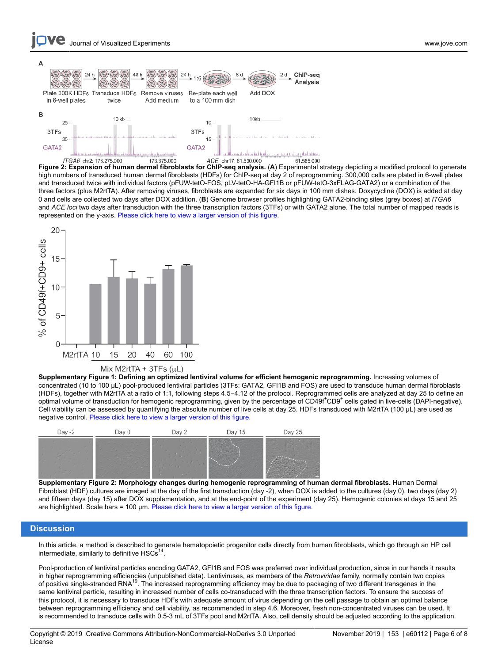



**Figure 2: Expansion of human dermal fibroblasts for ChIP-seq analysis.** (**A**) Experimental strategy depicting a modified protocol to generate high numbers of transduced human dermal fibroblasts (HDFs) for ChIP-seq at day 2 of reprogramming. 300,000 cells are plated in 6-well plates and transduced twice with individual factors (pFUW-tetO-FOS, pLV-tetO-HA-GFI1B or pFUW-tetO-3xFLAG-GATA2) or a combination of the three factors (plus M2rtTA). After removing viruses, fibroblasts are expanded for six days in 100 mm dishes. Doxycycline (DOX) is added at day 0 and cells are collected two days after DOX addition. (**B**) Genome browser profiles highlighting GATA2-binding sites (grey boxes) at *ITGA6* and *ACE loci* two days after transduction with the three transcription factors (3TFs) or with GATA2 alone. The total number of mapped reads is represented on the y-axis. [Please click here to view a larger version of this figure.](https://www.jove.com/files/ftp_upload/60112/60112fig02large.jpg)



Mix M2rtTA +  $3TFs$  ( $\mu$ L)

**Supplementary Figure 1: Defining an optimized lentiviral volume for efficient hemogenic reprogramming.** Increasing volumes of concentrated (10 to 100 μL) pool-produced lentiviral particles (3TFs: GATA2, GFI1B and FOS) are used to transduce human dermal fibroblasts (HDFs), together with M2rtTA at a ratio of 1:1, following steps 4.5−4.12 of the protocol. Reprogrammed cells are analyzed at day 25 to define an optimal volume of transduction for hemogenic reprogramming, given by the percentage of CD49f<sup>+</sup>CD9<sup>+</sup> cells gated in live-cells (DAPI-negative). Cell viability can be assessed by quantifying the absolute number of live cells at day 25. HDFs transduced with M2rtTA (100 μL) are used as negative control. [Please click here to view a larger version of this figure.](https://www.jove.com/files/ftp_upload/60112/60112suppfig1large.jpg)



**Supplementary Figure 2: Morphology changes during hemogenic reprogramming of human dermal fibroblasts.** Human Dermal Fibroblast (HDF) cultures are imaged at the day of the first transduction (day -2), when DOX is added to the cultures (day 0), two days (day 2) and fifteen days (day 15) after DOX supplementation, and at the end-point of the experiment (day 25). Hemogenic colonies at days 15 and 25 are highlighted. Scale bars = 100 µm. [Please click here to view a larger version of this figure.](https://www.jove.com/files/ftp_upload/60112/60112suppfig2large.jpg)

#### **Discussion**

In this article, a method is described to generate hematopoietic progenitor cells directly from human fibroblasts, which go through an HP cell intermediate, similarly to definitive  $HSCs<sup>1</sup>$ .

Pool-production of lentiviral particles encoding GATA2, GFI1B and FOS was preferred over individual production, since in our hands it results in higher reprogramming efficiencies (unpublished data). Lentiviruses, as members of the *Retroviridae* family, normally contain two copies of positive single-stranded RNA<sup>19</sup>. The increased reprogramming efficiency may be due to packaging of two different transgenes in the same lentiviral particle, resulting in increased number of cells co-transduced with the three transcription factors. To ensure the success of this protocol, it is necessary to transduce HDFs with adequate amount of virus depending on the cell passage to obtain an optimal balance between reprogramming efficiency and cell viability, as recommended in step 4.6. Moreover, fresh non-concentrated viruses can be used. It is recommended to transduce cells with 0.5-3 mL of 3TFs pool and M2rtTA. Also, cell density should be adjusted according to the application.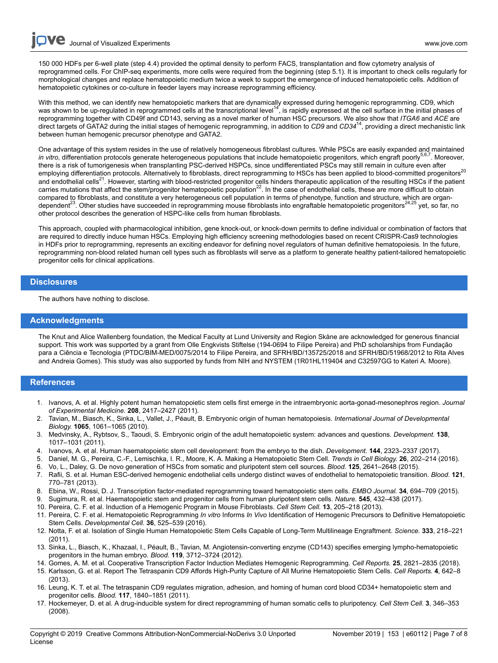150 000 HDFs per 6-well plate (step 4.4) provided the optimal density to perform FACS, transplantation and flow cytometry analysis of reprogrammed cells. For ChIP-seq experiments, more cells were required from the beginning (step 5.1). It is important to check cells regularly for morphological changes and replace hematopoietic medium twice a week to support the emergence of induced hematopoietic cells. Addition of hematopoietic cytokines or co-culture in feeder layers may increase reprogramming efficiency.

With this method, we can identify new hematopoietic markers that are dynamically expressed during hemogenic reprogramming. CD9, which<br>was shown to be up-regulated in reprogrammed cells at the transcriptional level<sup>14</sup>, is reprogramming together with CD49f and CD143, serving as a novel marker of human HSC precursors. We also show that *ITGA6* and *ACE* are direct targets of GATA2 during the initial stages of hemogenic reprogramming, in addition to *CD9* and *CD34*<sup>14</sup>, providing a direct mechanistic link between human hemogenic precursor phenotype and GATA2.

One advantage of this system resides in the use of relatively homogeneous fibroblast cultures. While PSCs are easily expanded and maintained in vitro, differentiation protocols generate heterogeneous populations that include hematopoietic progenitors, which engraft poorly<sup>5,6,7</sup>. Moreover, there is a risk of tumorigenesis when transplanting PSC-derived HSPCs, since undifferentiated PSCs may still remain in culture even after employing differentiation protocols. Alternatively to fibroblasts, direct reprogramming to HSCs has been applied to blood-committed progenitors<sup>20</sup> and endothelial cells<sup>21</sup>. However, starting with blood-restricted progenitor cells hinders therapeutic application of the resulting HSCs if the patient carries mutations that affect the stem/progenitor hematopoietic population<sup>22</sup>. In the case of endothelial cells, these are more difficult to obtain compared to fibroblasts, and constitute a very heterogeneous cell population in terms of phenotype, function and structure, which are organdependent<sup>23</sup>. Other studies have succeeded in reprogramming mouse fibroblasts into engraftable hematopoietic progenitors<sup>24,25</sup> yet, so far, no other protocol describes the generation of HSPC-like cells from human fibroblasts.

This approach, coupled with pharmacological inhibition, gene knock-out, or knock-down permits to define individual or combination of factors that are required to directly induce human HSCs. Employing high efficiency screening methodologies based on recent CRISPR-Cas9 technologies in HDFs prior to reprogramming, represents an exciting endeavor for defining novel regulators of human definitive hematopoiesis. In the future, reprogramming non-blood related human cell types such as fibroblasts will serve as a platform to generate healthy patient-tailored hematopoietic progenitor cells for clinical applications.

#### **Disclosures**

The authors have nothing to disclose.

#### **Acknowledgments**

The Knut and Alice Wallenberg foundation, the Medical Faculty at Lund University and Region Skåne are acknowledged for generous financial support. This work was supported by a grant from Olle Engkvists Stiftelse (194-0694 to Filipe Pereira) and PhD scholarships from Fundação para a Ciência e Tecnologia (PTDC/BIM-MED/0075/2014 to Filipe Pereira, and SFRH/BD/135725/2018 and SFRH/BD/51968/2012 to Rita Alves and Andreia Gomes). This study was also supported by funds from NIH and NYSTEM (1R01HL119404 and C32597GG to Kateri A. Moore).

### **References**

- 1. Ivanovs, A. et al. Highly potent human hematopoietic stem cells first emerge in the intraembryonic aorta-gonad-mesonephros region. *Journal of Experimental Medicine.* **208**, 2417–2427 (2011).
- 2. Tavian, M., Biasch, K., Sinka, L., Vallet, J., Péault, B. Embryonic origin of human hematopoiesis. *International Journal of Developmental Biology.* **1065**, 1061–1065 (2010).
- 3. Medvinsky, A., Rybtsov, S., Taoudi, S. Embryonic origin of the adult hematopoietic system: advances and questions. *Development.* **138**, 1017–1031 (2011).
- 4. Ivanovs, A. et al. Human haematopoietic stem cell development: from the embryo to the dish. *Development.* **144**, 2323–2337 (2017).
- 5. Daniel, M. G., Pereira, C.-F., Lemischka, I. R., Moore, K. A. Making a Hematopoietic Stem Cell. *Trends in Cell Biology.* **26**, 202–214 (2016).
- 6. Vo, L., Daley, G. De novo generation of HSCs from somatic and pluripotent stem cell sources. *Blood.* **125**, 2641–2648 (2015).
- 7. Rafii, S. et al. Human ESC-derived hemogenic endothelial cells undergo distinct waves of endothelial to hematopoietic transition. *Blood.* **121**, 770–781 (2013).
- 8. Ebina, W., Rossi, D. J. Transcription factor-mediated reprogramming toward hematopoietic stem cells. *EMBO Journal.* **34**, 694–709 (2015).
- 9. Sugimura, R. et al. Haematopoietic stem and progenitor cells from human pluripotent stem cells. *Nature.* **545**, 432–438 (2017).
- 10. Pereira, C. F. et al. Induction of a Hemogenic Program in Mouse Fibroblasts. *Cell Stem Cell.* **13**, 205–218 (2013).
- 11. Pereira, C. F. et al. Hematopoietic Reprogramming *In vitro* Informs *In Vivo* Identification of Hemogenic Precursors to Definitive Hematopoietic Stem Cells. *Developmental Cell.* **36**, 525–539 (2016).
- 12. Notta, F. et al. Isolation of Single Human Hematopoietic Stem Cells Capable of Long-Term Multilineage Engraftment. *Science.* **333**, 218–221 (2011).
- 13. Sinka, L., Biasch, K., Khazaal, I., Péault, B., Tavian, M. Angiotensin-converting enzyme (CD143) specifies emerging lympho-hematopoietic progenitors in the human embryo. *Blood.* **119**, 3712–3724 (2012).
- 14. Gomes, A. M. et al. Cooperative Transcription Factor Induction Mediates Hemogenic Reprogramming. *Cell Reports.* **25**, 2821–2835 (2018).
- 15. Karlsson, G. et al. Report The Tetraspanin CD9 Affords High-Purity Capture of All Murine Hematopoietic Stem Cells. *Cell Reports.* **4**, 642–8 (2013).
- 16. Leung, K. T. et al. The tetraspanin CD9 regulates migration, adhesion, and homing of human cord blood CD34+ hematopoietic stem and progenitor cells. *Blood.* **117**, 1840–1851 (2011).
- 17. Hockemeyer, D. et al. A drug-inducible system for direct reprogramming of human somatic cells to pluripotency. *Cell Stem Cell.* **3**, 346–353 (2008).